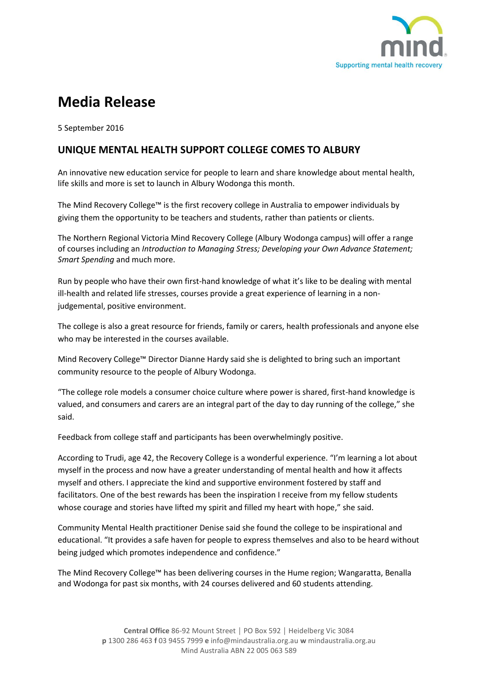

# **Media Release**

5 September 2016

## **UNIQUE MENTAL HEALTH SUPPORT COLLEGE COMES TO ALBURY**

An innovative new education service for people to learn and share knowledge about mental health, life skills and more is set to launch in Albury Wodonga this month.

The Mind Recovery College™ is the first recovery college in Australia to empower individuals by giving them the opportunity to be teachers and students, rather than patients or clients.

The Northern Regional Victoria Mind Recovery College (Albury Wodonga campus) will offer a range of courses including an *Introduction to Managing Stress; Developing your Own Advance Statement; Smart Spending* and much more.

Run by people who have their own first-hand knowledge of what it's like to be dealing with mental ill-health and related life stresses, courses provide a great experience of learning in a nonjudgemental, positive environment.

The college is also a great resource for friends, family or carers, health professionals and anyone else who may be interested in the courses available.

Mind Recovery College™ Director Dianne Hardy said she is delighted to bring such an important community resource to the people of Albury Wodonga.

"The college role models a consumer choice culture where power is shared, first-hand knowledge is valued, and consumers and carers are an integral part of the day to day running of the college," she said.

Feedback from college staff and participants has been overwhelmingly positive.

According to Trudi, age 42, the Recovery College is a wonderful experience. "I'm learning a lot about myself in the process and now have a greater understanding of mental health and how it affects myself and others. I appreciate the kind and supportive environment fostered by staff and facilitators. One of the best rewards has been the inspiration I receive from my fellow students whose courage and stories have lifted my spirit and filled my heart with hope," she said.

Community Mental Health practitioner Denise said she found the college to be inspirational and educational. "It provides a safe haven for people to express themselves and also to be heard without being judged which promotes independence and confidence."

The Mind Recovery College™ has been delivering courses in the Hume region; Wangaratta, Benalla and Wodonga for past six months, with 24 courses delivered and 60 students attending.